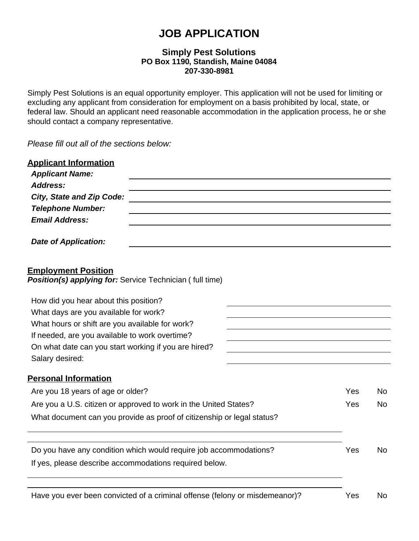# **JOB APPLICATION**

### **Simply Pest Solutions PO Box 1190, Standish, Maine 04084 207-330-8981**

Simply Pest Solutions is an equal opportunity employer. This application will not be used for limiting or excluding any applicant from consideration for employment on a basis prohibited by local, state, or federal law. Should an applicant need reasonable accommodation in the application process, he or she should contact a company representative.

*Please fill out all of the sections below:*

| <b>Applicant Information</b><br><b>Applicant Name:</b>                                 |     |           |
|----------------------------------------------------------------------------------------|-----|-----------|
| <b>Address:</b>                                                                        |     |           |
| <b>City, State and Zip Code:</b>                                                       |     |           |
| <b>Telephone Number:</b>                                                               |     |           |
| <b>Email Address:</b>                                                                  |     |           |
| <b>Date of Application:</b>                                                            |     |           |
| <b>Employment Position</b><br>Position(s) applying for: Service Technician (full time) |     |           |
| How did you hear about this position?                                                  |     |           |
| What days are you available for work?                                                  |     |           |
| What hours or shift are you available for work?                                        |     |           |
| If needed, are you available to work overtime?                                         |     |           |
| On what date can you start working if you are hired?                                   |     |           |
| Salary desired:                                                                        |     |           |
| <b>Personal Information</b>                                                            |     |           |
| Are you 18 years of age or older?                                                      | Yes | No.       |
| Are you a U.S. citizen or approved to work in the United States?                       | Yes | <b>No</b> |
| What document can you provide as proof of citizenship or legal status?                 |     |           |
| Do you have any condition which would require job accommodations?                      | Yes | <b>No</b> |
| If yes, please describe accommodations required below.                                 |     |           |
| Have you ever been convicted of a criminal offense (felony or misdemeanor)?            | Yes | No        |
|                                                                                        |     |           |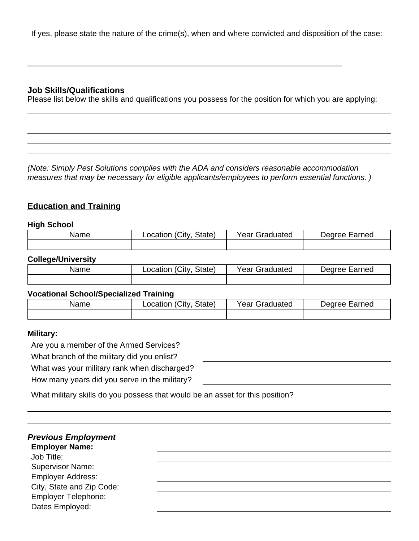If yes, please state the nature of the crime(s), when and where convicted and disposition of the case:

### **Job Skills/Qualifications**

Please list below the skills and qualifications you possess for the position for which you are applying:

*(Note: Simply Pest Solutions complies with the ADA and considers reasonable accommodation measures that may be necessary for eligible applicants/employees to perform essential functions. )*

## **Education and Training**

#### **High School**

| Name | City.<br>State)<br>_ocation | Graduated<br>Year | arned<br>AA1NA(<br>'ΠI |
|------|-----------------------------|-------------------|------------------------|
|      |                             |                   |                        |

#### **College/University**

| Name | $^{\prime}$ City<br>State)<br>_ocation | Year c<br>Graduated | Earned<br>AA1NAC |
|------|----------------------------------------|---------------------|------------------|
|      |                                        |                     |                  |

#### **Vocational School/Specialized Training**

| Name | City<br>State)<br>.ocation | Year<br>Graduated | Earned<br>Jearee |
|------|----------------------------|-------------------|------------------|
|      |                            |                   |                  |

#### **Military:**

Are you a member of the Armed Services?

What branch of the military did you enlist?

What was your military rank when discharged?

How many years did you serve in the

| ulialyeu? |  |  |
|-----------|--|--|
| military? |  |  |
|           |  |  |

What military skills do you possess that would be an asset for this position?

# *Previous Employment*

**Employer Name:** Job Title: Supervisor Name: Employer Address: City, State and Zip Code:

Employer Telephone:

Dates Employed: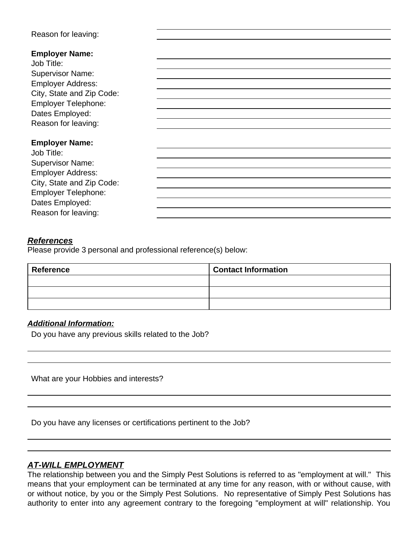### Reason for leaving:

Job Title: Supervisor Name: Employer Address: City, State and Zip Code: Employer Telephone: Dates Employed: Reason for leaving:

### **Employer Name:**

Job Title: Supervisor Name: Employer Address: City, State and Zip Code: Employer Telephone: Dates Employed: Reason for leaving:

### *References*

Please provide 3 personal and professional reference(s) below:

| Reference | <b>Contact Information</b> |
|-----------|----------------------------|
|           |                            |
|           |                            |
|           |                            |

### *Additional Information:*

Do you have any previous skills related to the Job?

What are your Hobbies and interests?

Do you have any licenses or certifications pertinent to the Job?

### *AT-WILL EMPLOYMENT*

The relationship between you and the Simply Pest Solutions is referred to as "employment at will." This means that your employment can be terminated at any time for any reason, with or without cause, with or without notice, by you or the Simply Pest Solutions. No representative of Simply Pest Solutions has authority to enter into any agreement contrary to the foregoing "employment at will" relationship. You